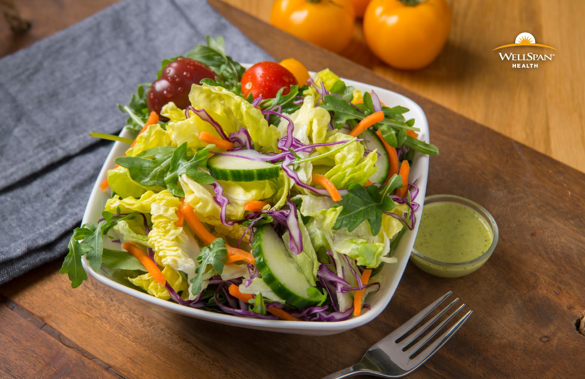